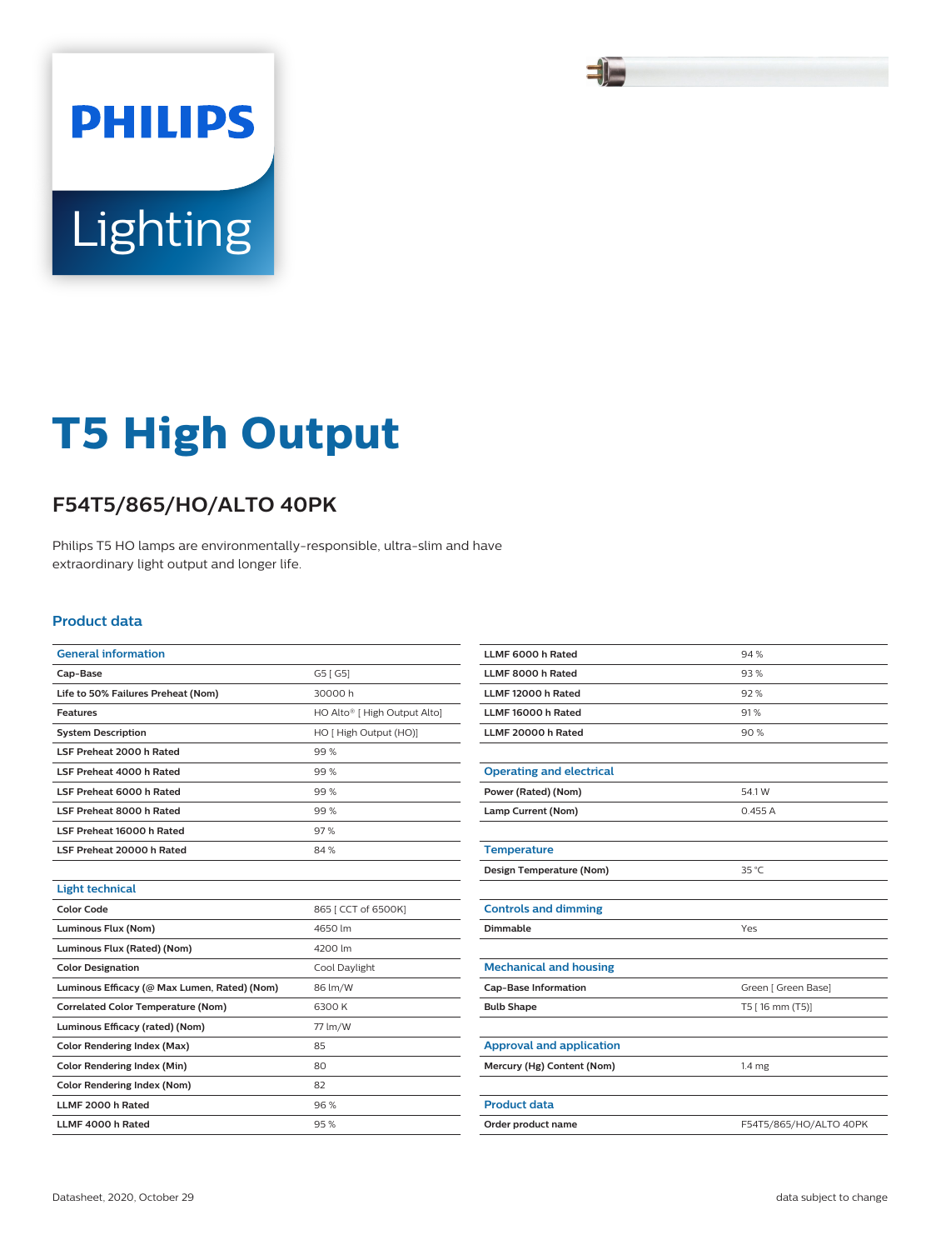### 51

# **Lighting**

**PHILIPS** 

## **T5 High Output**

#### **F54T5/865/HO/ALTO 40PK**

Philips T5 HO lamps are environmentally-responsible, ultra-slim and have extraordinary light output and longer life.

#### **Product data**

| <b>General information</b>                   |                              |  |  |  |
|----------------------------------------------|------------------------------|--|--|--|
| Cap-Base                                     | G5 [G5]                      |  |  |  |
| Life to 50% Failures Preheat (Nom)           | 30000h                       |  |  |  |
| <b>Features</b>                              | HO Alto® [ High Output Alto] |  |  |  |
| <b>System Description</b>                    | HO [ High Output (HO)]       |  |  |  |
| LSF Preheat 2000 h Rated                     | 99%                          |  |  |  |
| LSF Preheat 4000 h Rated                     | 99%                          |  |  |  |
| LSF Preheat 6000 h Rated                     | 99%                          |  |  |  |
| LSF Preheat 8000 h Rated                     | 99%                          |  |  |  |
| LSF Preheat 16000 h Rated                    | 97%                          |  |  |  |
| LSF Preheat 20000 h Rated                    | 84%                          |  |  |  |
|                                              |                              |  |  |  |
| <b>Light technical</b>                       |                              |  |  |  |
| <b>Color Code</b>                            | 865   CCT of 6500K]          |  |  |  |
| Luminous Flux (Nom)                          | 4650 lm                      |  |  |  |
| Luminous Flux (Rated) (Nom)                  | 4200 lm                      |  |  |  |
| <b>Color Designation</b>                     | Cool Daylight                |  |  |  |
| Luminous Efficacy (@ Max Lumen, Rated) (Nom) | 86 lm/W                      |  |  |  |
| <b>Correlated Color Temperature (Nom)</b>    | 6300 K                       |  |  |  |
| Luminous Efficacy (rated) (Nom)              | 77 lm/W                      |  |  |  |
| Color Rendering Index (Max)                  | 85                           |  |  |  |
| <b>Color Rendering Index (Min)</b>           | 80                           |  |  |  |
| <b>Color Rendering Index (Nom)</b>           | 82                           |  |  |  |
| LLMF 2000 h Rated                            | 96%                          |  |  |  |
| LLMF 4000 h Rated                            | 95%                          |  |  |  |

| LLMF 6000 h Rated               | 94%                    |  |  |
|---------------------------------|------------------------|--|--|
| LLMF 8000 h Rated               | 93%                    |  |  |
| LLMF 12000 h Rated              | 92%                    |  |  |
| LLMF 16000 h Rated              | 91%                    |  |  |
| LLMF 20000 h Rated              | 90%                    |  |  |
|                                 |                        |  |  |
| <b>Operating and electrical</b> |                        |  |  |
| Power (Rated) (Nom)             | 54.1W                  |  |  |
| Lamp Current (Nom)              | 0.455A                 |  |  |
|                                 |                        |  |  |
| <b>Temperature</b>              |                        |  |  |
| Design Temperature (Nom)        | 35 °C                  |  |  |
|                                 |                        |  |  |
| <b>Controls and dimming</b>     |                        |  |  |
| Dimmable                        | Yes                    |  |  |
|                                 |                        |  |  |
| <b>Mechanical and housing</b>   |                        |  |  |
| <b>Cap-Base Information</b>     | Green [ Green Base]    |  |  |
| <b>Bulb Shape</b>               | T5 [ 16 mm (T5)]       |  |  |
|                                 |                        |  |  |
| <b>Approval and application</b> |                        |  |  |
| Mercury (Hg) Content (Nom)      | 1.4 <sub>mg</sub>      |  |  |
|                                 |                        |  |  |
| <b>Product data</b>             |                        |  |  |
| Order product name              | F54T5/865/HO/ALTO 40PK |  |  |
|                                 |                        |  |  |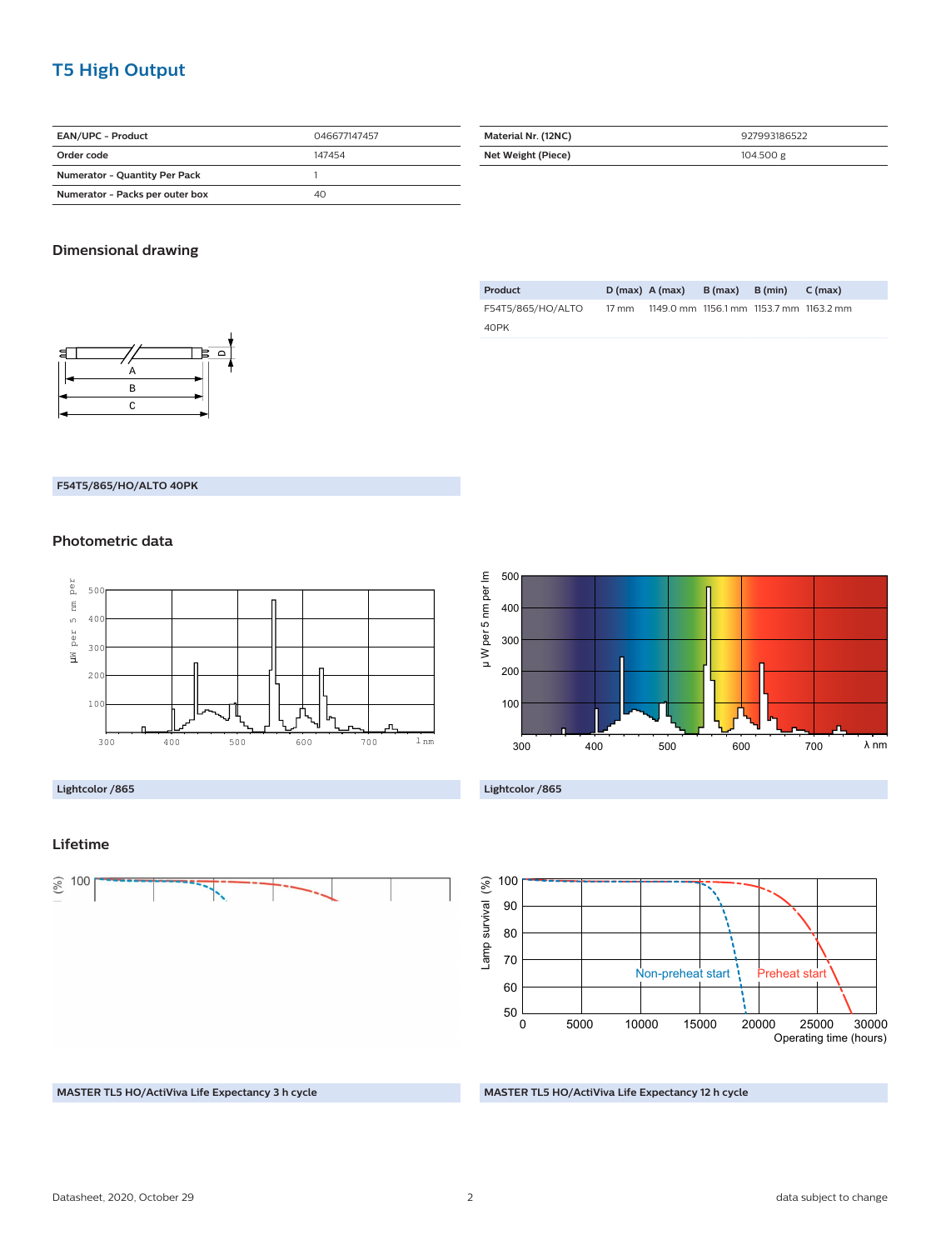#### **T5 High Output**

| <b>EAN/UPC - Product</b>             | 046677147457 |
|--------------------------------------|--------------|
| Order code                           | 147454       |
| <b>Numerator - Quantity Per Pack</b> |              |
| Numerator - Packs per outer box      | 40           |

| Material Nr. (12NC) | 927993186522 |
|---------------------|--------------|
| Net Weight (Piece)  | 104.500 g    |

#### **Dimensional drawing**



| Product           | $D(max)$ A (max)                              | $B(max)$ $B(min)$ | C (max) |
|-------------------|-----------------------------------------------|-------------------|---------|
| F54T5/865/HO/ALTO | 17 mm 1149.0 mm 1156.1 mm 1153.7 mm 1163.2 mm |                   |         |
| 40PK              |                                               |                   |         |

#### **F54T5/865/HO/ALTO 40PK**

#### **Photometric data**



#### **Lightcolor /865**

#### **Lifetime**









**MASTER TL5 HO/ActiViva Life Expectancy 12 h cycle**